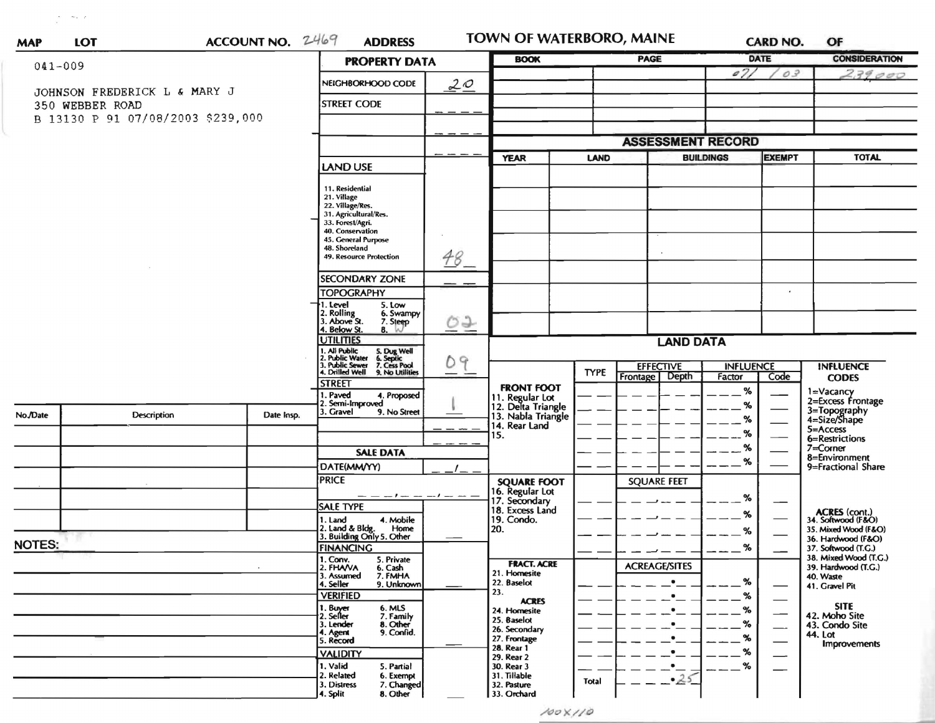| <b>MAP</b>                                                                           | <b>LOT</b> |                    | ACCOUNT NO. 2469 |                                                                                                                                                                                                                 | <b>ADDRESS</b>          |          | <b>TOWN OF WATERBORO, MAINE</b>                             |                  |                                  |        | <b>CARD NO.</b>          | OF                                         |
|--------------------------------------------------------------------------------------|------------|--------------------|------------------|-----------------------------------------------------------------------------------------------------------------------------------------------------------------------------------------------------------------|-------------------------|----------|-------------------------------------------------------------|------------------|----------------------------------|--------|--------------------------|--------------------------------------------|
| $041 - 009$                                                                          |            |                    |                  | <b>PROPERTY DATA</b>                                                                                                                                                                                            |                         |          | <b>BOOK</b>                                                 |                  | PAGE                             |        | <b>DATE</b>              | <b>CONSIDERATION</b>                       |
| JOHNSON FREDERICK L & MARY J<br>350 WEBBER ROAD<br>B 13130 P 91 07/08/2003 \$239,000 |            |                    |                  |                                                                                                                                                                                                                 | NEIGHBORHOOD CODE<br>20 |          |                                                             |                  |                                  | 071    | 03                       | 239000                                     |
|                                                                                      |            |                    |                  |                                                                                                                                                                                                                 | <b>STREET CODE</b>      |          |                                                             |                  |                                  |        |                          |                                            |
|                                                                                      |            |                    |                  |                                                                                                                                                                                                                 |                         |          |                                                             |                  |                                  |        |                          |                                            |
|                                                                                      |            |                    |                  |                                                                                                                                                                                                                 |                         |          | <b>ASSESSMENT RECORD</b>                                    |                  |                                  |        |                          |                                            |
|                                                                                      |            | LAND USE           |                  | <b>YEAR</b>                                                                                                                                                                                                     | <b>LAND</b>             |          | <b>BUILDINGS</b>                                            | <b>EXEMPT</b>    | <b>TOTAL</b>                     |        |                          |                                            |
|                                                                                      |            |                    |                  | 11. Residential<br>21. Village<br>22. Village/Res.<br>31. Agricultural/Res.<br>33. Forest/Agri.<br>40. Conservation<br>45. General Purpose<br>48. Shoreland<br>49. Resource Protection<br><b>SECONDARY ZONE</b> |                         | $48 -$   |                                                             |                  |                                  |        |                          |                                            |
|                                                                                      |            |                    |                  |                                                                                                                                                                                                                 |                         |          |                                                             |                  |                                  |        |                          |                                            |
|                                                                                      |            |                    |                  | <b>TOPOGRAPHY</b>                                                                                                                                                                                               |                         |          |                                                             |                  |                                  |        |                          |                                            |
|                                                                                      |            |                    |                  | 1. Level<br>5. Low<br>2. Rolling<br>3. Above St.<br>6. Swampy<br>7. Steep<br>4. Below St.<br>$8. \omega$                                                                                                        |                         | ロナ       |                                                             |                  |                                  |        |                          |                                            |
|                                                                                      |            |                    |                  | <b>UTILITIES</b>                                                                                                                                                                                                | 09<br>- -               |          |                                                             | <b>LAND DATA</b> |                                  |        |                          |                                            |
|                                                                                      |            |                    |                  | 1. All Public<br>2. Public Water<br>3. Public Sewer<br>4. Drilled Well<br>S. Dug Well<br>6. Septic<br>7. Cess Pool<br>9. No Utilities                                                                           |                         |          | <b>TYPE</b>                                                 | <b>EFFECTIVE</b> | <b>INFLUENCE</b>                 |        | <b>INFLUENCE</b>         |                                            |
|                                                                                      |            |                    |                  | <b>STREET</b>                                                                                                                                                                                                   |                         |          | <b>FRONT FOOT</b>                                           |                  | <b>Depth</b><br>Frontage         | Factor | Code                     | <b>CODES</b>                               |
|                                                                                      |            |                    |                  | 1. Paved                                                                                                                                                                                                        | 4. Proposed             |          |                                                             |                  |                                  | %      |                          | 1=Vacancy<br>2=Excess Frontage             |
| No./Date                                                                             |            | <b>Description</b> | Date Insp.       | 2. Semi-Improved<br>. Gravel                                                                                                                                                                                    | 9. No Street            |          | 11. Regular Lot<br>12. Delta Triangle<br>13. Nabla Triangle |                  |                                  | %      |                          | 3=Topography<br>4=Size/Shape               |
|                                                                                      |            |                    |                  |                                                                                                                                                                                                                 |                         |          | 14. Rear Land                                               |                  |                                  | %      |                          | 5=Access                                   |
|                                                                                      |            |                    |                  |                                                                                                                                                                                                                 |                         |          | 15.                                                         |                  |                                  | %      |                          | 6=Restrictions                             |
|                                                                                      |            |                    |                  |                                                                                                                                                                                                                 | <b>SALE DATA</b>        |          |                                                             |                  |                                  | %      |                          | $7 =$ Corner<br>8=Environment              |
|                                                                                      |            |                    |                  | DATE(MM/YY)                                                                                                                                                                                                     |                         |          |                                                             |                  |                                  | ℅      |                          | 9=Fractional Share                         |
|                                                                                      |            |                    |                  | <b>PRICE</b>                                                                                                                                                                                                    |                         |          | <b>SQUARE FOOT</b><br>16. Regular Lot                       |                  | <b>SQUARE FEET</b>               |        |                          |                                            |
|                                                                                      |            |                    |                  |                                                                                                                                                                                                                 | $-1$ $-$                | $-1$ $-$ | 17. Secondary                                               |                  |                                  | %      | --                       |                                            |
|                                                                                      |            |                    |                  | <b>SALE TYPE</b><br>1. Land                                                                                                                                                                                     | 4. Mobile               |          | 18. Excess Land<br>19. Condo.                               |                  |                                  | %      |                          | <b>ACRES</b> (cont.)<br>34. Softwood (F&O) |
|                                                                                      |            |                    |                  |                                                                                                                                                                                                                 | Home                    |          | 20.                                                         |                  |                                  | ℅      |                          | 35. Mixed Wood (F&O)                       |
| <b>NOTES:</b>                                                                        |            |                    |                  | 2. Land & Bldg. Home<br>3. Building Only 5. Other                                                                                                                                                               |                         |          |                                                             |                  |                                  | %      |                          | 36. Hardwood (F&O)<br>37. Softwood (T.G.)  |
|                                                                                      |            |                    |                  | <b>FINANCING</b><br>1. Conv.<br>5. Private                                                                                                                                                                      |                         |          |                                                             |                  |                                  |        |                          | 38. Mixed Wood (T.G.)                      |
|                                                                                      |            |                    |                  | 2. FHAVA<br>3. Assumed                                                                                                                                                                                          | 6. Cash<br>7. FMHA      |          | <b>FRACT. ACRE</b><br>21. Homesite                          |                  | <b>ACREAGE/SITES</b>             |        |                          | 39. Hardwood (T.G.)<br>40. Waste           |
|                                                                                      |            |                    |                  | 4. Seller                                                                                                                                                                                                       | 9. Unknown              |          | 22. Baselot                                                 |                  | $\bullet$                        | %      |                          | 41. Gravel Pit                             |
|                                                                                      |            |                    |                  | <b>VERIFIED</b>                                                                                                                                                                                                 |                         |          | 23.<br><b>ACRES</b>                                         |                  | $\bullet$                        | %      |                          |                                            |
|                                                                                      |            |                    |                  | 1. Buyer<br>2. Seller                                                                                                                                                                                           | 6. MLS<br>7. Family     |          | 24. Homesite                                                |                  | ٠                                | %      | $\hspace{0.05cm}$        | <b>SITE</b><br>42. Moho Site               |
|                                                                                      |            |                    |                  | 3. Lender<br>4. Agent                                                                                                                                                                                           | 8. Other<br>9. Confid.  |          | 25. Baselot<br>26. Secondary                                |                  | $\bullet$                        | %      | $\overline{\phantom{0}}$ | 43. Condo Site                             |
|                                                                                      |            |                    |                  | 5. Record                                                                                                                                                                                                       |                         |          | 27. Frontage                                                |                  | $\bullet$                        | %      |                          | 44. Lot<br>Improvements                    |
|                                                                                      |            |                    |                  | <b>VALIDITY</b>                                                                                                                                                                                                 |                         |          | 28. Rear 1<br>29. Rear 2                                    |                  |                                  | %      | $\overline{\phantom{m}}$ |                                            |
|                                                                                      |            |                    |                  | 1. Valid                                                                                                                                                                                                        | 5. Partial              |          | 30. Rear 3                                                  |                  | $\cdot$ $\overline{\phantom{a}}$ | %      | —                        |                                            |
|                                                                                      |            |                    |                  | 2. Related<br>3. Distress                                                                                                                                                                                       | 6. Exempt<br>7. Changed |          | 31. Tillable<br>32. Pasture                                 | Total            | $-25$                            |        |                          |                                            |
|                                                                                      |            |                    |                  | 4. Split                                                                                                                                                                                                        | 8. Other                |          | 33. Orchard                                                 |                  |                                  |        |                          |                                            |

 $\frac{\partial \mathbf{e}}{\partial t} = -\frac{\partial \mathbf{e}}{\partial t} \mathbf{e} + \frac{\partial \mathbf{e}}{\partial t}$ 

 $100X/10$